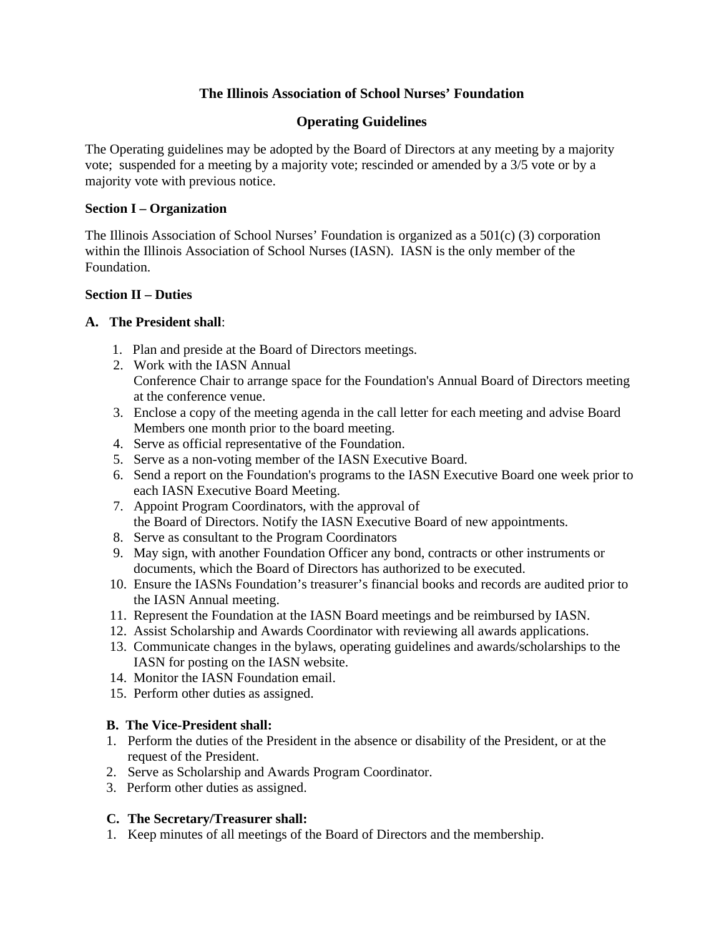# **The Illinois Association of School Nurses' Foundation**

## **Operating Guidelines**

The Operating guidelines may be adopted by the Board of Directors at any meeting by a majority vote; suspended for a meeting by a majority vote; rescinded or amended by a 3/5 vote or by a majority vote with previous notice.

#### **Section I – Organization**

The Illinois Association of School Nurses' Foundation is organized as a 501(c) (3) corporation within the Illinois Association of School Nurses (IASN). IASN is the only member of the Foundation.

#### **Section II – Duties**

#### **A. The President shall**:

- 1. Plan and preside at the Board of Directors meetings.
- 2. Work with the IASN Annual Conference Chair to arrange space for the Foundation's Annual Board of Directors meeting at the conference venue.
- 3. Enclose a copy of the meeting agenda in the call letter for each meeting and advise Board Members one month prior to the board meeting.
- 4. Serve as official representative of the Foundation.
- 5. Serve as a non-voting member of the IASN Executive Board.
- 6. Send a report on the Foundation's programs to the IASN Executive Board one week prior to each IASN Executive Board Meeting.
- 7. Appoint Program Coordinators, with the approval of the Board of Directors. Notify the IASN Executive Board of new appointments.
- 8. Serve as consultant to the Program Coordinators
- 9. May sign, with another Foundation Officer any bond, contracts or other instruments or documents, which the Board of Directors has authorized to be executed.
- 10. Ensure the IASNs Foundation's treasurer's financial books and records are audited prior to the IASN Annual meeting.
- 11. Represent the Foundation at the IASN Board meetings and be reimbursed by IASN.
- 12. Assist Scholarship and Awards Coordinator with reviewing all awards applications.
- 13. Communicate changes in the bylaws, operating guidelines and awards/scholarships to the IASN for posting on the IASN website.
- 14. Monitor the IASN Foundation email.
- 15. Perform other duties as assigned.

### **B. The Vice-President shall:**

- 1. Perform the duties of the President in the absence or disability of the President, or at the request of the President.
- 2. Serve as Scholarship and Awards Program Coordinator.
- 3.Perform other duties as assigned.

### **C. The Secretary/Treasurer shall:**

1. Keep minutes of all meetings of the Board of Directors and the membership.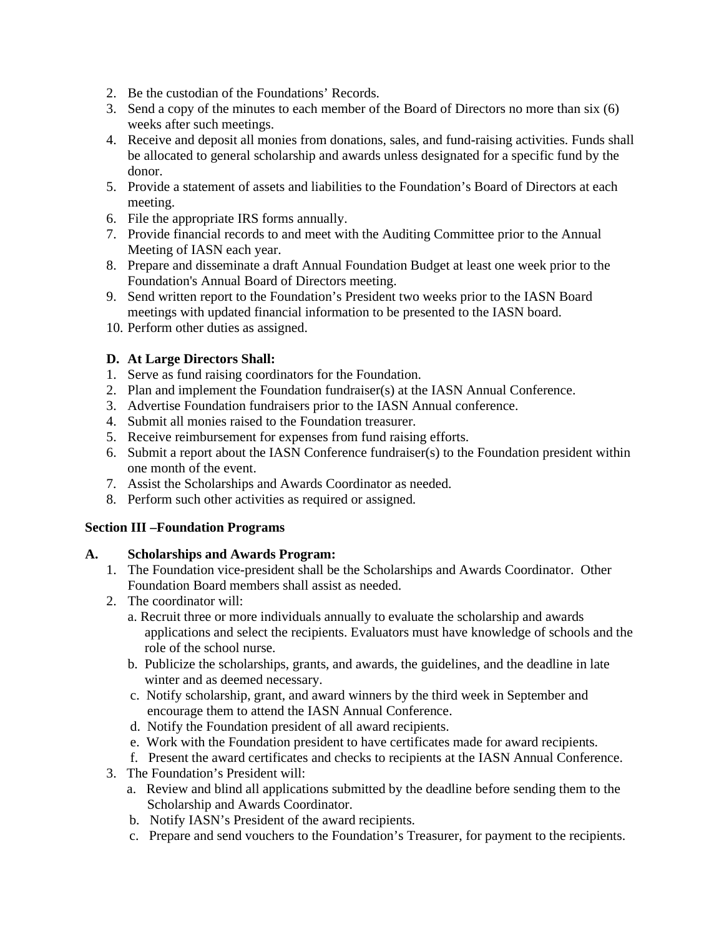- 2. Be the custodian of the Foundations' Records.
- 3. Send a copy of the minutes to each member of the Board of Directors no more than six (6) weeks after such meetings.
- 4. Receive and deposit all monies from donations, sales, and fund-raising activities. Funds shall be allocated to general scholarship and awards unless designated for a specific fund by the donor.
- 5. Provide a statement of assets and liabilities to the Foundation's Board of Directors at each meeting.
- 6. File the appropriate IRS forms annually.
- 7. Provide financial records to and meet with the Auditing Committee prior to the Annual Meeting of IASN each year.
- 8. Prepare and disseminate a draft Annual Foundation Budget at least one week prior to the Foundation's Annual Board of Directors meeting.
- 9. Send written report to the Foundation's President two weeks prior to the IASN Board meetings with updated financial information to be presented to the IASN board.
- 10. Perform other duties as assigned.

## **D. At Large Directors Shall:**

- 1. Serve as fund raising coordinators for the Foundation.
- 2. Plan and implement the Foundation fundraiser(s) at the IASN Annual Conference.
- 3. Advertise Foundation fundraisers prior to the IASN Annual conference.
- 4. Submit all monies raised to the Foundation treasurer.
- 5. Receive reimbursement for expenses from fund raising efforts.
- 6. Submit a report about the IASN Conference fundraiser(s) to the Foundation president within one month of the event.
- 7. Assist the Scholarships and Awards Coordinator as needed.
- 8. Perform such other activities as required or assigned.

### **Section III –Foundation Programs**

### **A. Scholarships and Awards Program:**

- 1. The Foundation vice-president shall be the Scholarships and Awards Coordinator. Other Foundation Board members shall assist as needed.
- 2. The coordinator will:
	- a. Recruit three or more individuals annually to evaluate the scholarship and awards applications and select the recipients. Evaluators must have knowledge of schools and the role of the school nurse.
	- b. Publicize the scholarships, grants, and awards, the guidelines, and the deadline in late winter and as deemed necessary.
	- c. Notify scholarship, grant, and award winners by the third week in September and encourage them to attend the IASN Annual Conference.
	- d. Notify the Foundation president of all award recipients.
	- e. Work with the Foundation president to have certificates made for award recipients.
	- f. Present the award certificates and checks to recipients at the IASN Annual Conference.
- 3. The Foundation's President will:
	- a. Review and blind all applications submitted by the deadline before sending them to the Scholarship and Awards Coordinator.
	- b. Notify IASN's President of the award recipients.
	- c. Prepare and send vouchers to the Foundation's Treasurer, for payment to the recipients.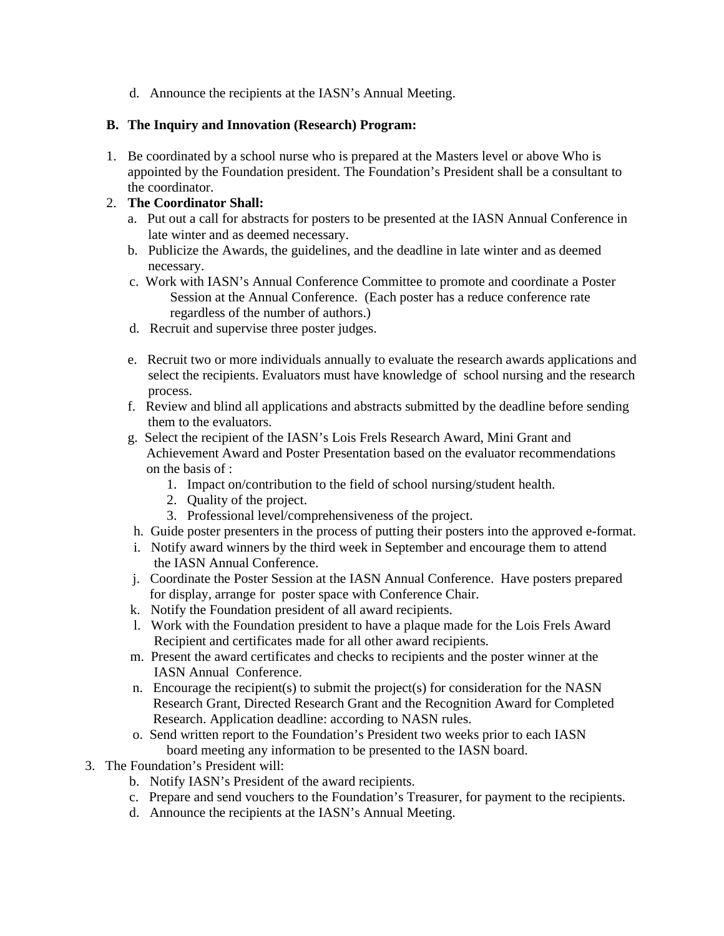d. Announce the recipients at the IASN's Annual Meeting.

#### **B. The Inquiry and Innovation (Research) Program:**

1. Be coordinated by a school nurse who is prepared at the Masters level or above Who is appointed by the Foundation president. The Foundation's President shall be a consultant to the coordinator.

### 2. **The Coordinator Shall:**

- a. Put out a call for abstracts for posters to be presented at the IASN Annual Conference in late winter and as deemed necessary.
- b. Publicize the Awards, the guidelines, and the deadline in late winter and as deemed necessary.
- c. Work with IASN's Annual Conference Committee to promote and coordinate a Poster Session at the Annual Conference. (Each poster has a reduce conference rate regardless of the number of authors.)
- d. Recruit and supervise three poster judges.
- e. Recruit two or more individuals annually to evaluate the research awards applications and select the recipients. Evaluators must have knowledge of school nursing and the research process.
- f. Review and blind all applications and abstracts submitted by the deadline before sending them to the evaluators.
- g. Select the recipient of the IASN's Lois Frels Research Award, Mini Grant and Achievement Award and Poster Presentation based on the evaluator recommendations on the basis of :
	- 1. Impact on/contribution to the field of school nursing/student health.
	- 2. Quality of the project.
	- 3. Professional level/comprehensiveness of the project.
- h. Guide poster presenters in the process of putting their posters into the approved e-format.
- i. Notify award winners by the third week in September and encourage them to attend the IASN Annual Conference.
- j. Coordinate the Poster Session at the IASN Annual Conference. Have posters prepared for display, arrange for poster space with Conference Chair.
- k. Notify the Foundation president of all award recipients.
- l. Work with the Foundation president to have a plaque made for the Lois Frels Award Recipient and certificates made for all other award recipients.
- m. Present the award certificates and checks to recipients and the poster winner at the IASN Annual Conference.
- n. Encourage the recipient(s) to submit the project(s) for consideration for the NASN Research Grant, Directed Research Grant and the Recognition Award for Completed Research. Application deadline: according to NASN rules.
- o. Send written report to the Foundation's President two weeks prior to each IASN board meeting any information to be presented to the IASN board.
- 3. The Foundation's President will:
	- b. Notify IASN's President of the award recipients.
	- c. Prepare and send vouchers to the Foundation's Treasurer, for payment to the recipients.
	- d. Announce the recipients at the IASN's Annual Meeting.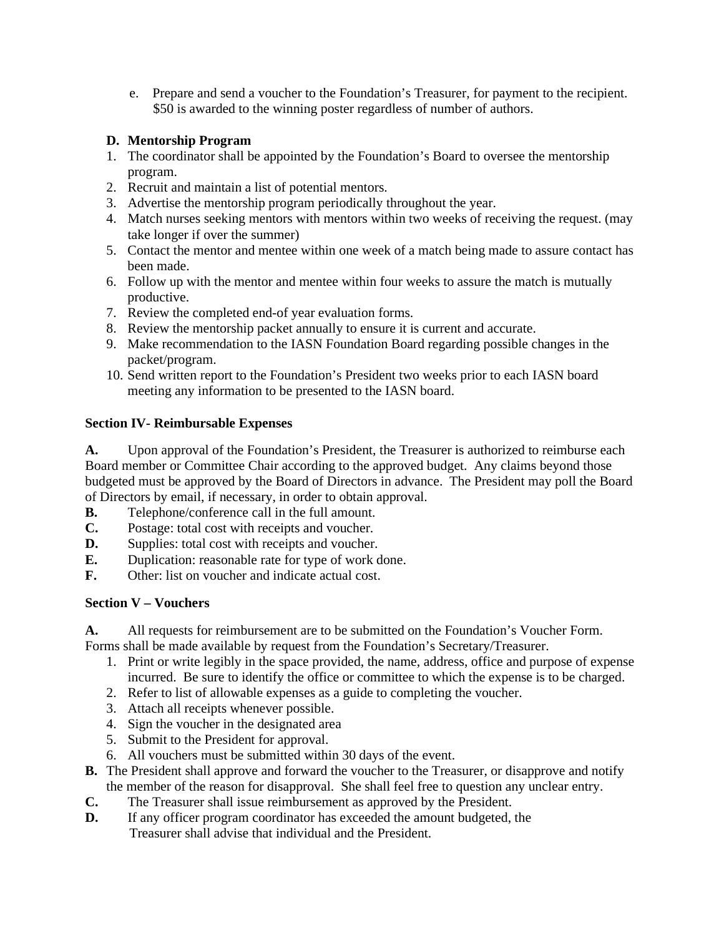e. Prepare and send a voucher to the Foundation's Treasurer, for payment to the recipient. \$50 is awarded to the winning poster regardless of number of authors.

# **D. Mentorship Program**

- 1. The coordinator shall be appointed by the Foundation's Board to oversee the mentorship program.
- 2. Recruit and maintain a list of potential mentors.
- 3. Advertise the mentorship program periodically throughout the year.
- 4. Match nurses seeking mentors with mentors within two weeks of receiving the request. (may take longer if over the summer)
- 5. Contact the mentor and mentee within one week of a match being made to assure contact has been made.
- 6. Follow up with the mentor and mentee within four weeks to assure the match is mutually productive.
- 7. Review the completed end-of year evaluation forms.
- 8. Review the mentorship packet annually to ensure it is current and accurate.
- 9. Make recommendation to the IASN Foundation Board regarding possible changes in the packet/program.
- 10. Send written report to the Foundation's President two weeks prior to each IASN board meeting any information to be presented to the IASN board.

# **Section IV- Reimbursable Expenses**

**A.** Upon approval of the Foundation's President, the Treasurer is authorized to reimburse each Board member or Committee Chair according to the approved budget. Any claims beyond those budgeted must be approved by the Board of Directors in advance. The President may poll the Board of Directors by email, if necessary, in order to obtain approval.

- **B.** Telephone/conference call in the full amount.
- **C.** Postage: total cost with receipts and voucher.
- **D.** Supplies: total cost with receipts and voucher.
- **E.** Duplication: reasonable rate for type of work done.
- **F.** Other: list on voucher and indicate actual cost.

# **Section V – Vouchers**

**A.** All requests for reimbursement are to be submitted on the Foundation's Voucher Form.

Forms shall be made available by request from the Foundation's Secretary/Treasurer.

- 1. Print or write legibly in the space provided, the name, address, office and purpose of expense incurred. Be sure to identify the office or committee to which the expense is to be charged.
- 2. Refer to list of allowable expenses as a guide to completing the voucher.
- 3. Attach all receipts whenever possible.
- 4. Sign the voucher in the designated area
- 5. Submit to the President for approval.
- 6. All vouchers must be submitted within 30 days of the event.
- **B.** The President shall approve and forward the voucher to the Treasurer, or disapprove and notify the member of the reason for disapproval. She shall feel free to question any unclear entry.
- **C.** The Treasurer shall issue reimbursement as approved by the President.
- **D.** If any officer program coordinator has exceeded the amount budgeted, the Treasurer shall advise that individual and the President.